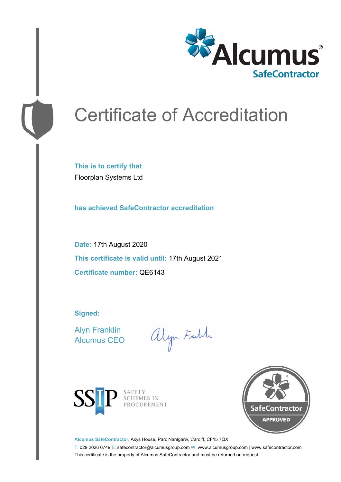

# Certificate of Accreditation

**This is to certify that** Floorplan Systems Ltd

**has achieved SafeContractor accreditation**

**Date:** 17th August 2020 **This certificate is valid until:** 17th August 2021 **Certificate number:** QE6143

**Signed:**

Alyn Franklin Alcumus CEO

alyn Faldi



SAFETY<br>SCHEMES IN PROCUREMENT



**Alcumus SafeContractor,** Axys House, Parc Nantgarw, Cardiff, CF15 7QX

T: 029 2026 6749 E: safecontractor@alcumusgroup.com W: www.alcumusgroup.com | www.safecontractor.com This certificate is the property of Alcumus SafeContractor and must be returned on request